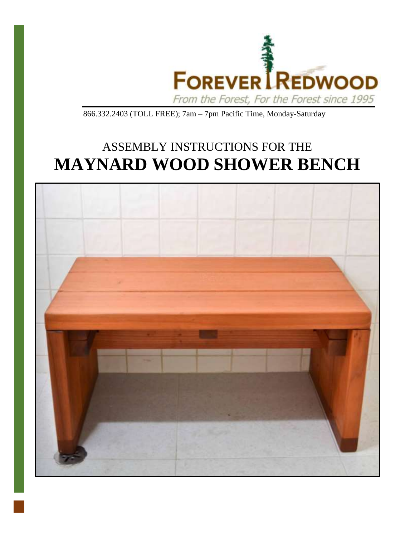

866.332.2403 (TOLL FREE); 7am – 7pm Pacific Time, Monday-Saturday

## ASSEMBLY INSTRUCTIONS FOR THE **MAYNARD WOOD SHOWER BENCH**

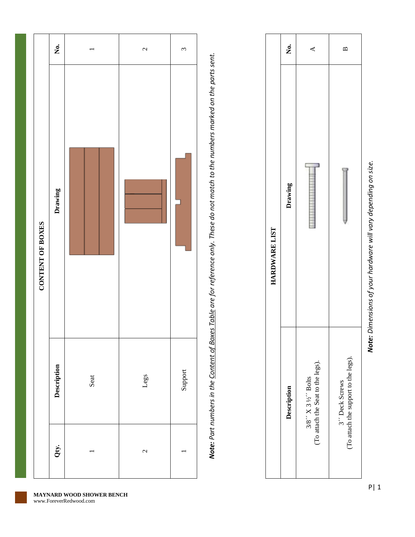|                  | Ź.          |      | $\overline{\mathcal{C}}$ | $\mathfrak{c}$ |
|------------------|-------------|------|--------------------------|----------------|
| CONTENT OF BOXES | Drawing     |      |                          |                |
|                  | Description | Seat | Legs                     | Support        |
|                  | Qty.        |      | 2                        |                |

Note: Part numbers in the Content of Boxes Table are for reference only. These do not match to the numbers marked on the parts sent. *Note: Part numbers in the Content of Boxes Table are for reference only. These do not match to the numbers marked on the parts sent.*

|               | Ż.          | ⋖                                                         | ≃                                                      |
|---------------|-------------|-----------------------------------------------------------|--------------------------------------------------------|
| HARDWARE LIST | Drawing     |                                                           |                                                        |
|               | Description | (To attach the Seat to the legs).<br>$3/8$ " X 3 ½" Bolts | (To attach the support to the legs).<br>3" Deck Screws |

## **MAYNARD WOOD SHOWER BENCH**

*Note: Dimensions of your hardware will vary depending on size.*

Note: Dimensions of your hardware will vary depending on size.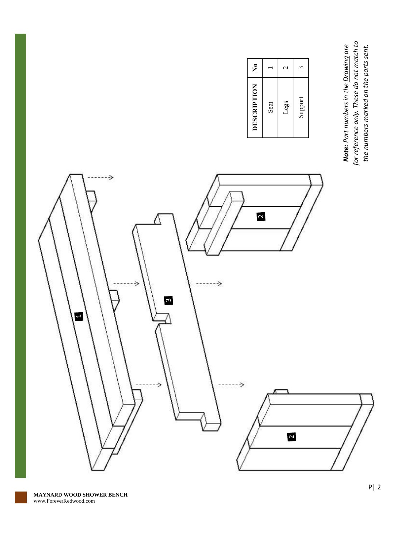**Note:** Part numbers in the <u>Drawing</u> are<br>for reference only. These do not match to<br>the numbers marked on the parts sent. *for reference only. These do not match to Note: Part numbers in the Drawing are the numbers marked on the parts sent.*

| DESCRIPTION | $\tilde{\mathsf{z}}$     |
|-------------|--------------------------|
| Seat        |                          |
| Legs        | $\overline{\mathcal{C}}$ |
| Support     | م                        |
|             |                          |

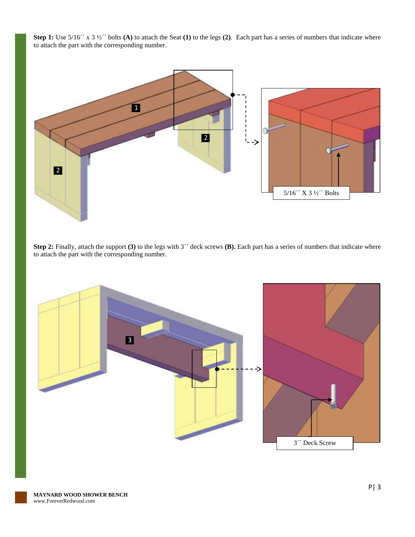**Step 1:** Use  $5/16''$  x  $3\frac{1}{2}''$  bolts **(A)** to attach the Seat **(1)** to the legs **(2)**. Each part has a series of numbers that indicate where to attach the part with the corresponding number.



**Step 2:** Finally, attach the support **(3)** to the legs with 3<sup>24</sup> deck screws **(B)**. Each part has a series of numbers that indicate where to attach the part with the corresponding number.